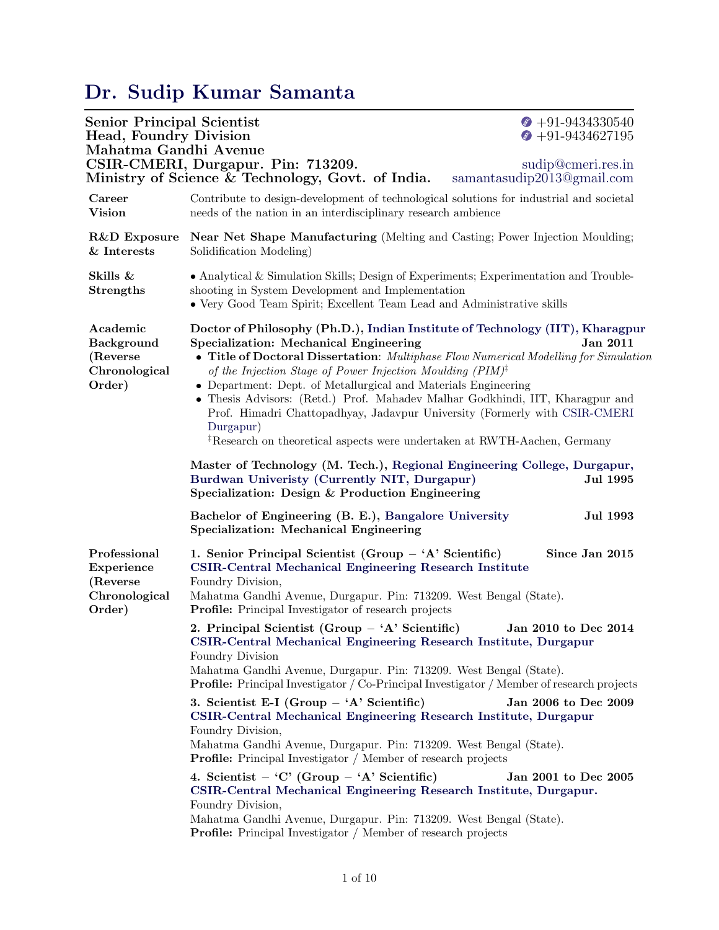## [Dr. Sudip Kumar Samanta](https://orcid.org/0000-0001-5191-0256)

| <b>Senior Principal Scientist</b><br>Head, Foundry Division<br>Mahatma Gandhi Avenue | CSIR-CMERI, Durgapur. Pin: 713209.<br>Ministry of Science & Technology, Govt. of India.<br>samantasudip2013@gmail.com                                                                                                                                                                                                                                                                                                                                                                                                                                                                                                                      | $\bullet$ +91-9434330540<br>$\bullet$ +91-9434627195<br>sudip@cmeri.res.in |
|--------------------------------------------------------------------------------------|--------------------------------------------------------------------------------------------------------------------------------------------------------------------------------------------------------------------------------------------------------------------------------------------------------------------------------------------------------------------------------------------------------------------------------------------------------------------------------------------------------------------------------------------------------------------------------------------------------------------------------------------|----------------------------------------------------------------------------|
| Career<br><b>Vision</b>                                                              | Contribute to design-development of technological solutions for industrial and societal<br>needs of the nation in an interdisciplinary research ambience                                                                                                                                                                                                                                                                                                                                                                                                                                                                                   |                                                                            |
| R&D Exposure<br>$\&$ Interests                                                       | <b>Near Net Shape Manufacturing</b> (Melting and Casting; Power Injection Moulding;<br>Solidification Modeling)                                                                                                                                                                                                                                                                                                                                                                                                                                                                                                                            |                                                                            |
| Skills &<br><b>Strengths</b>                                                         | • Analytical & Simulation Skills; Design of Experiments; Experimentation and Trouble-<br>shooting in System Development and Implementation<br>• Very Good Team Spirit; Excellent Team Lead and Administrative skills                                                                                                                                                                                                                                                                                                                                                                                                                       |                                                                            |
| Academic<br><b>Background</b><br>(Reverse)<br>Chronological<br>Order)                | Doctor of Philosophy (Ph.D.), Indian Institute of Technology (IIT), Kharagpur<br>Specialization: Mechanical Engineering<br>Jan 2011<br>• Title of Doctoral Dissertation: Multiphase Flow Numerical Modelling for Simulation<br>of the Injection Stage of Power Injection Moulding $(PIM)^{\ddagger}$<br>• Department: Dept. of Metallurgical and Materials Engineering<br>• Thesis Advisors: (Retd.) Prof. Mahadev Malhar Godkhindi, IIT, Kharagpur and<br>Prof. Himadri Chattopadhyay, Jadavpur University (Formerly with CSIR-CMERI<br>Durgapur)<br><sup>‡</sup> Research on theoretical aspects were undertaken at RWTH-Aachen, Germany |                                                                            |
|                                                                                      | Master of Technology (M. Tech.), Regional Engineering College, Durgapur,<br>Burdwan Univeristy (Currently NIT, Durgapur)<br>Specialization: Design & Production Engineering                                                                                                                                                                                                                                                                                                                                                                                                                                                                | <b>Jul 1995</b>                                                            |
|                                                                                      | Bachelor of Engineering (B. E.), Bangalore University<br>Specialization: Mechanical Engineering                                                                                                                                                                                                                                                                                                                                                                                                                                                                                                                                            | <b>Jul 1993</b>                                                            |
| Professional<br>Experience<br>(Reverse)<br>Chronological<br>Order)                   | 1. Senior Principal Scientist (Group - 'A' Scientific)<br><b>CSIR-Central Mechanical Engineering Research Institute</b><br>Foundry Division,<br>Mahatma Gandhi Avenue, Durgapur. Pin: 713209. West Bengal (State).<br>Profile: Principal Investigator of research projects                                                                                                                                                                                                                                                                                                                                                                 | Since Jan 2015                                                             |
|                                                                                      | 2. Principal Scientist (Group - 'A' Scientific)<br>CSIR-Central Mechanical Engineering Research Institute, Durgapur<br>Foundry Division<br>Mahatma Gandhi Avenue, Durgapur. Pin: 713209. West Bengal (State).<br><b>Profile:</b> Principal Investigator / Co-Principal Investigator / Member of research projects                                                                                                                                                                                                                                                                                                                          | Jan 2010 to Dec 2014                                                       |
|                                                                                      | 3. Scientist E-I (Group $-$ 'A' Scientific)<br>CSIR-Central Mechanical Engineering Research Institute, Durgapur<br>Foundry Division,<br>Mahatma Gandhi Avenue, Durgapur. Pin: 713209. West Bengal (State).<br><b>Profile:</b> Principal Investigator / Member of research projects                                                                                                                                                                                                                                                                                                                                                         | Jan 2006 to Dec 2009                                                       |
|                                                                                      | 4. Scientist – 'C' (Group – 'A' Scientific)<br>CSIR-Central Mechanical Engineering Research Institute, Durgapur.<br>Foundry Division,<br>Mahatma Gandhi Avenue, Durgapur. Pin: 713209. West Bengal (State).<br><b>Profile:</b> Principal Investigator / Member of research projects                                                                                                                                                                                                                                                                                                                                                        | Jan 2001 to Dec 2005                                                       |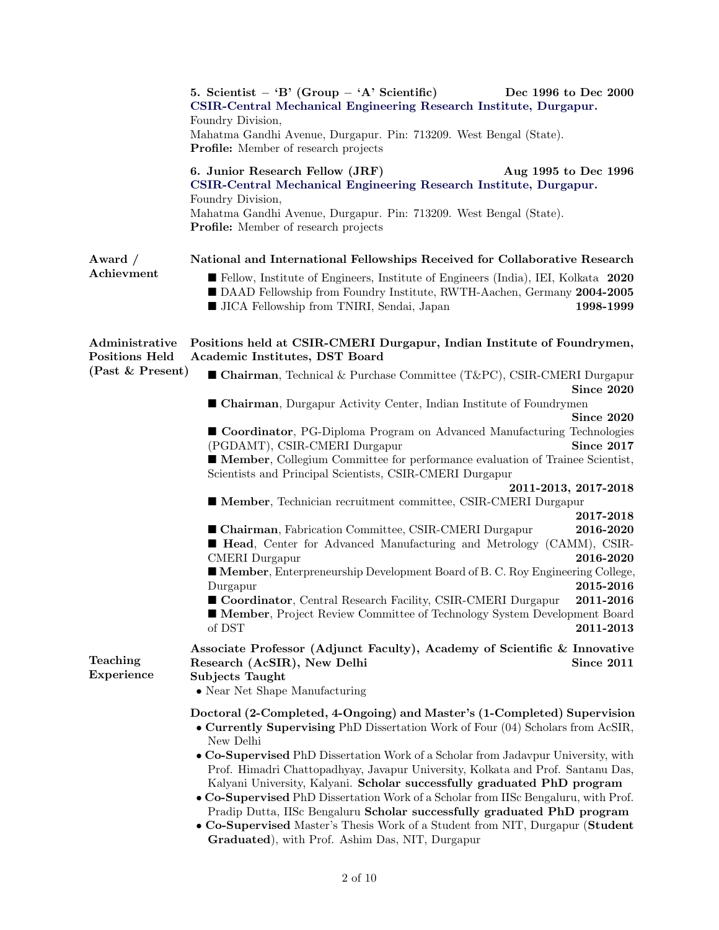|                                         | 5. Scientist – 'B' (Group – 'A' Scientific)<br>CSIR-Central Mechanical Engineering Research Institute, Durgapur.<br>Foundry Division,<br>Mahatma Gandhi Avenue, Durgapur. Pin: 713209. West Bengal (State).<br>Profile: Member of research projects                                                                                                                                                                                                                                                                                                                                                                                                                                                                              | Dec 1996 to Dec 2000                                                       |
|-----------------------------------------|----------------------------------------------------------------------------------------------------------------------------------------------------------------------------------------------------------------------------------------------------------------------------------------------------------------------------------------------------------------------------------------------------------------------------------------------------------------------------------------------------------------------------------------------------------------------------------------------------------------------------------------------------------------------------------------------------------------------------------|----------------------------------------------------------------------------|
|                                         | 6. Junior Research Fellow (JRF)<br>CSIR-Central Mechanical Engineering Research Institute, Durgapur.<br>Foundry Division,<br>Mahatma Gandhi Avenue, Durgapur. Pin: 713209. West Bengal (State).<br><b>Profile:</b> Member of research projects                                                                                                                                                                                                                                                                                                                                                                                                                                                                                   | Aug 1995 to Dec 1996                                                       |
| Award $/$<br>Achievment                 | National and International Fellowships Received for Collaborative Research<br>Ellow, Institute of Engineers, Institute of Engineers (India), IEI, Kolkata 2020<br>DAAD Fellowship from Foundry Institute, RWTH-Aachen, Germany 2004-2005<br>I JICA Fellowship from TNIRI, Sendai, Japan                                                                                                                                                                                                                                                                                                                                                                                                                                          | 1998-1999                                                                  |
| Administrative<br><b>Positions Held</b> | Positions held at CSIR-CMERI Durgapur, Indian Institute of Foundrymen,<br>Academic Institutes, DST Board                                                                                                                                                                                                                                                                                                                                                                                                                                                                                                                                                                                                                         |                                                                            |
| (Past & Present)                        | ■ Chairman, Technical & Purchase Committee (T&PC), CSIR-CMERI Durgapur                                                                                                                                                                                                                                                                                                                                                                                                                                                                                                                                                                                                                                                           | Since 2020                                                                 |
|                                         | ■ Chairman, Durgapur Activity Center, Indian Institute of Foundrymen                                                                                                                                                                                                                                                                                                                                                                                                                                                                                                                                                                                                                                                             | Since 2020                                                                 |
|                                         | Coordinator, PG-Diploma Program on Advanced Manufacturing Technologies<br>(PGDAMT), CSIR-CMERI Durgapur<br>Member, Collegium Committee for performance evaluation of Trainee Scientist,<br>Scientists and Principal Scientists, CSIR-CMERI Durgapur                                                                                                                                                                                                                                                                                                                                                                                                                                                                              | Since 2017                                                                 |
|                                         |                                                                                                                                                                                                                                                                                                                                                                                                                                                                                                                                                                                                                                                                                                                                  | 2011-2013, 2017-2018                                                       |
|                                         | Member, Technician recruitment committee, CSIR-CMERI Durgapur<br>■ Chairman, Fabrication Committee, CSIR-CMERI Durgapur<br><b>Example Head</b> , Center for Advanced Manufacturing and Metrology (CAMM), CSIR-<br><b>CMERI</b> Durgapur<br><b>Member, Enterpreneurship Development Board of B. C. Roy Engineering College,</b><br>Durgapur<br>Coordinator, Central Research Facility, CSIR-CMERI Durgapur<br><b>Member, Project Review Committee of Technology System Development Board</b><br>of DST                                                                                                                                                                                                                            | 2017-2018<br>2016-2020<br>2016-2020<br>2015-2016<br>2011-2016<br>2011-2013 |
| Teaching<br>Experience                  | Associate Professor (Adjunct Faculty), Academy of Scientific & Innovative<br>Research (AcSIR), New Delhi<br><b>Subjects Taught</b><br>• Near Net Shape Manufacturing                                                                                                                                                                                                                                                                                                                                                                                                                                                                                                                                                             | Since 2011                                                                 |
|                                         | Doctoral (2-Completed, 4-Ongoing) and Master's (1-Completed) Supervision<br>• Currently Supervising PhD Dissertation Work of Four (04) Scholars from AcSIR,<br>New Delhi<br>• Co-Supervised PhD Dissertation Work of a Scholar from Jadavpur University, with<br>Prof. Himadri Chattopadhyay, Javapur University, Kolkata and Prof. Santanu Das,<br>Kalyani University, Kalyani. Scholar successfully graduated PhD program<br>• Co-Supervised PhD Dissertation Work of a Scholar from IISc Bengaluru, with Prof.<br>Pradip Dutta, IISc Bengaluru Scholar successfully graduated PhD program<br>• Co-Supervised Master's Thesis Work of a Student from NIT, Durgapur (Student<br>Graduated), with Prof. Ashim Das, NIT, Durgapur |                                                                            |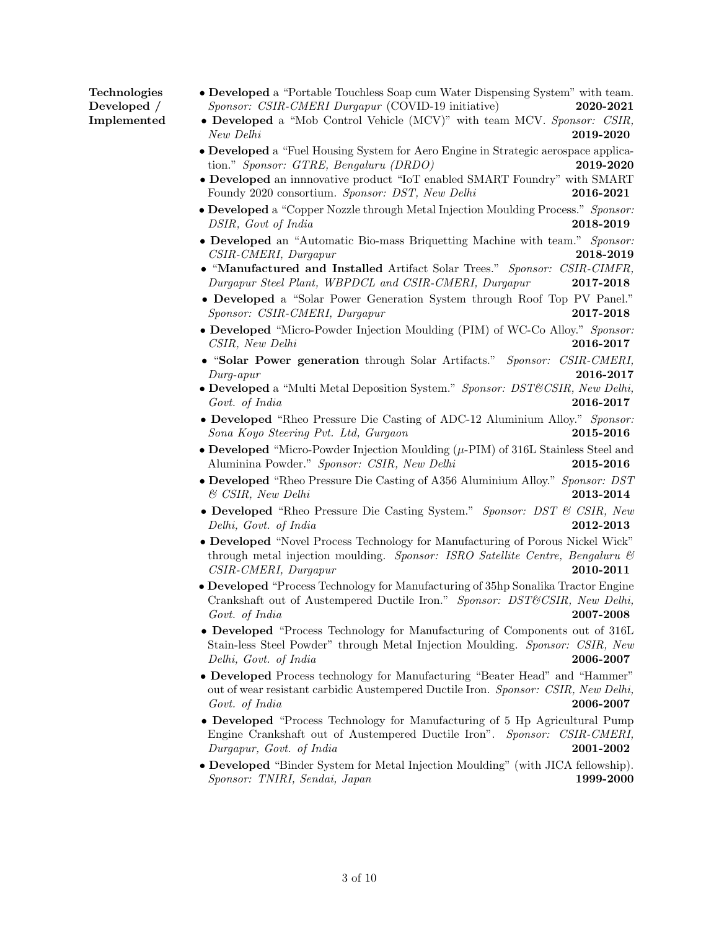## Technologies Developed / Implemented

- Developed a "Portable Touchless Soap cum Water Dispensing System" with team. Sponsor: CSIR-CMERI Durgapur (COVID-19 initiative) 2020-2021
- Developed a "Mob Control Vehicle (MCV)" with team MCV. Sponsor: CSIR, New Delhi 2019-2020
- Developed a "Fuel Housing System for Aero Engine in Strategic aerospace application." Sponsor: GTRE, Bengaluru (DRDO) 2019-2020
- Developed an innnovative product "IoT enabled SMART Foundry" with SMART Foundy 2020 consortium. Sponsor: DST, New Delhi 2016-2021
- Developed a "Copper Nozzle through Metal Injection Moulding Process." Sponsor: DSIR, Govt of India 2018-2019
- Developed an "Automatic Bio-mass Briquetting Machine with team." Sponsor: CSIR-CMERI, Durgapur 2018-2019
- "Manufactured and Installed Artifact Solar Trees." Sponsor: CSIR-CIMFR, Durgapur Steel Plant, WBPDCL and CSIR-CMERI, Durgapur 2017-2018
- Developed a "Solar Power Generation System through Roof Top PV Panel." Sponsor: CSIR-CMERI, Durgapur 2017-2018
- Developed "Micro-Powder Injection Moulding (PIM) of WC-Co Alloy." Sponsor: CSIR, New Delhi 2016-2017
- "Solar Power generation through Solar Artifacts." Sponsor: CSIR-CMERI,  $Durg-apur$  2016-2017
- Developed a "Multi Metal Deposition System." Sponsor: DST&CSIR, New Delhi, Govt. of India 2016-2017
- Developed "Rheo Pressure Die Casting of ADC-12 Aluminium Alloy." Sponsor: Sona Koyo Steering Pvt. Ltd, Gurgaon 2015-2016
- Developed "Micro-Powder Injection Moulding (µ-PIM) of 316L Stainless Steel and Aluminina Powder." Sponsor: CSIR, New Delhi 2015-2016
- Developed "Rheo Pressure Die Casting of A356 Aluminium Alloy." Sponsor: DST  $\&$  CSIR, New Delhi 2013-2014
- Developed "Rheo Pressure Die Casting System." Sponsor: DST & CSIR, New Delhi, Govt. of India 2012-2013
- Developed "Novel Process Technology for Manufacturing of Porous Nickel Wick" through metal injection moulding. Sponsor: ISRO Satellite Centre, Bengaluru & CSIR-CMERI, Durgapur 2010-2011
- Developed "Process Technology for Manufacturing of 35hp Sonalika Tractor Engine Crankshaft out of Austempered Ductile Iron." Sponsor: DST&CSIR, New Delhi, Govt. of India 2007-2008
- Developed "Process Technology for Manufacturing of Components out of 316L Stain-less Steel Powder" through Metal Injection Moulding. Sponsor: CSIR, New Delhi, Govt. of India 2006-2007
- Developed Process technology for Manufacturing "Beater Head" and "Hammer" out of wear resistant carbidic Austempered Ductile Iron. Sponsor: CSIR, New Delhi, Govt. of India 2006-2007
- Developed "Process Technology for Manufacturing of 5 Hp Agricultural Pump Engine Crankshaft out of Austempered Ductile Iron". Sponsor: CSIR-CMERI, Durgapur, Govt. of India 2001-2002
- Developed "Binder System for Metal Injection Moulding" (with JICA fellowship). Sponsor: TNIRI, Sendai, Japan 1999-2000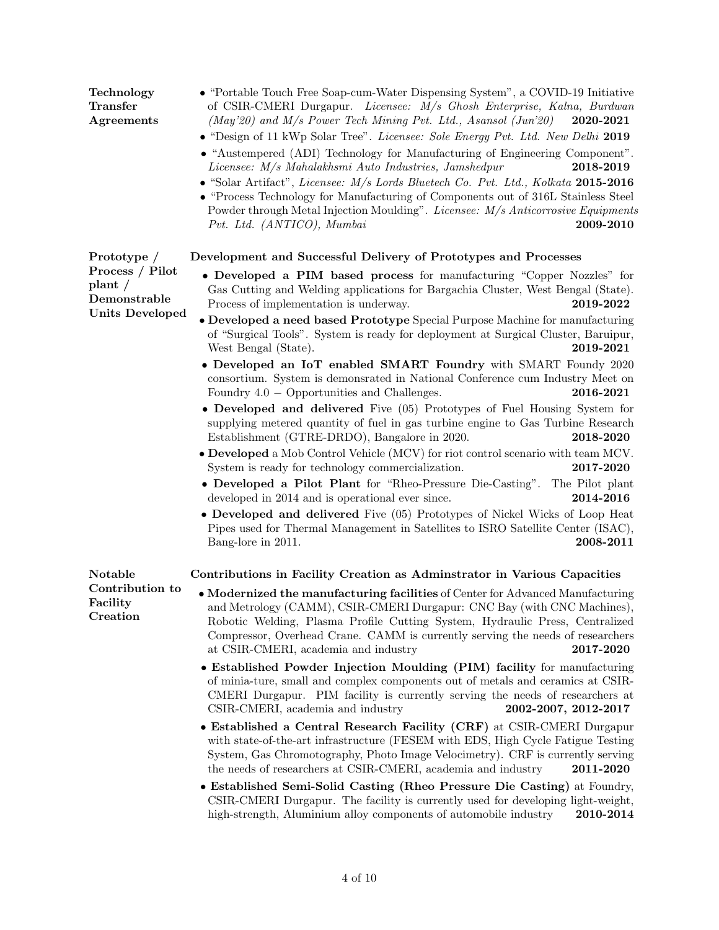| Technology<br>$\begin{array}{c}\text{Transfer}\end{array}$<br>Agreements      | • "Portable Touch Free Soap-cum-Water Dispensing System", a COVID-19 Initiative<br>of CSIR-CMERI Durgapur. Licensee: M/s Ghosh Enterprise, Kalna, Burdwan<br>(May'20) and M/s Power Tech Mining Pvt. Ltd., Asansol (Jun'20)<br>2020-2021<br>• "Design of 11 kWp Solar Tree". Licensee: Sole Energy Pvt. Ltd. New Delhi 2019<br>• "Austempered (ADI) Technology for Manufacturing of Engineering Component".<br>Licensee: M/s Mahalakhsmi Auto Industries, Jamshedpur<br>2018-2019<br>• "Solar Artifact", Licensee: M/s Lords Bluetech Co. Pvt. Ltd., Kolkata 2015-2016<br>• "Process Technology for Manufacturing of Components out of 316L Stainless Steel<br>Powder through Metal Injection Moulding". Licensee: M/s Anticorrosive Equipments<br>Pvt. Ltd. (ANTICO), Mumbai<br>2009-2010 |
|-------------------------------------------------------------------------------|--------------------------------------------------------------------------------------------------------------------------------------------------------------------------------------------------------------------------------------------------------------------------------------------------------------------------------------------------------------------------------------------------------------------------------------------------------------------------------------------------------------------------------------------------------------------------------------------------------------------------------------------------------------------------------------------------------------------------------------------------------------------------------------------|
| Prototype /                                                                   | Development and Successful Delivery of Prototypes and Processes                                                                                                                                                                                                                                                                                                                                                                                                                                                                                                                                                                                                                                                                                                                            |
| Process / Pilot<br>$_{\rm plant}$ /<br>Demonstrable<br><b>Units Developed</b> | • Developed a PIM based process for manufacturing "Copper Nozzles" for<br>Gas Cutting and Welding applications for Bargachia Cluster, West Bengal (State).<br>Process of implementation is underway.<br>2019-2022<br>• Developed a need based Prototype Special Purpose Machine for manufacturing<br>of "Surgical Tools". System is ready for deployment at Surgical Cluster, Baruipur,<br>West Bengal (State).<br>2019-2021                                                                                                                                                                                                                                                                                                                                                               |
|                                                                               | • Developed an IoT enabled SMART Foundry with SMART Foundy 2020<br>consortium. System is demonsrated in National Conference cum Industry Meet on<br>Foundry $4.0 -$ Opportunities and Challenges.<br>2016-2021                                                                                                                                                                                                                                                                                                                                                                                                                                                                                                                                                                             |
|                                                                               | • Developed and delivered Five (05) Prototypes of Fuel Housing System for<br>supplying metered quantity of fuel in gas turbine engine to Gas Turbine Research<br>Establishment (GTRE-DRDO), Bangalore in 2020.<br>2018-2020                                                                                                                                                                                                                                                                                                                                                                                                                                                                                                                                                                |
|                                                                               | • Developed a Mob Control Vehicle (MCV) for riot control scenario with team MCV.<br>System is ready for technology commercialization.<br>2017-2020                                                                                                                                                                                                                                                                                                                                                                                                                                                                                                                                                                                                                                         |
|                                                                               | • Developed a Pilot Plant for "Rheo-Pressure Die-Casting".<br>The Pilot plant<br>developed in 2014 and is operational ever since.<br>2014-2016                                                                                                                                                                                                                                                                                                                                                                                                                                                                                                                                                                                                                                             |
|                                                                               | • Developed and delivered Five (05) Prototypes of Nickel Wicks of Loop Heat<br>Pipes used for Thermal Management in Satellites to ISRO Satellite Center (ISAC),<br>Bang-lore in 2011.<br>2008-2011                                                                                                                                                                                                                                                                                                                                                                                                                                                                                                                                                                                         |
| Notable                                                                       | Contributions in Facility Creation as Adminitrator in Various Capacities                                                                                                                                                                                                                                                                                                                                                                                                                                                                                                                                                                                                                                                                                                                   |
| Contribution to<br>Facility<br>Creation                                       | • Modernized the manufacturing facilities of Center for Advanced Manufacturing<br>and Metrology (CAMM), CSIR-CMERI Durgapur: CNC Bay (with CNC Machines),<br>Robotic Welding, Plasma Profile Cutting System, Hydraulic Press, Centralized<br>Compressor, Overhead Crane. CAMM is currently serving the needs of researchers<br>at CSIR-CMERI, academia and industry<br>2017-2020                                                                                                                                                                                                                                                                                                                                                                                                           |
|                                                                               | • Established Powder Injection Moulding (PIM) facility for manufacturing<br>of minia-ture, small and complex components out of metals and ceramics at CSIR-<br>CMERI Durgapur. PIM facility is currently serving the needs of researchers at<br>CSIR-CMERI, academia and industry<br>2002-2007, 2012-2017                                                                                                                                                                                                                                                                                                                                                                                                                                                                                  |
|                                                                               | • Established a Central Research Facility (CRF) at CSIR-CMERI Durgapur<br>with state-of-the-art infrastructure (FESEM with EDS, High Cycle Fatigue Testing<br>System, Gas Chromotography, Photo Image Velocimetry). CRF is currently serving<br>the needs of researchers at CSIR-CMERI, academia and industry<br>2011-2020                                                                                                                                                                                                                                                                                                                                                                                                                                                                 |
|                                                                               | • Established Semi-Solid Casting (Rheo Pressure Die Casting) at Foundry,<br>CSIR-CMERI Durgapur. The facility is currently used for developing light-weight,<br>high-strength, Aluminium alloy components of automobile industry<br>2010-2014                                                                                                                                                                                                                                                                                                                                                                                                                                                                                                                                              |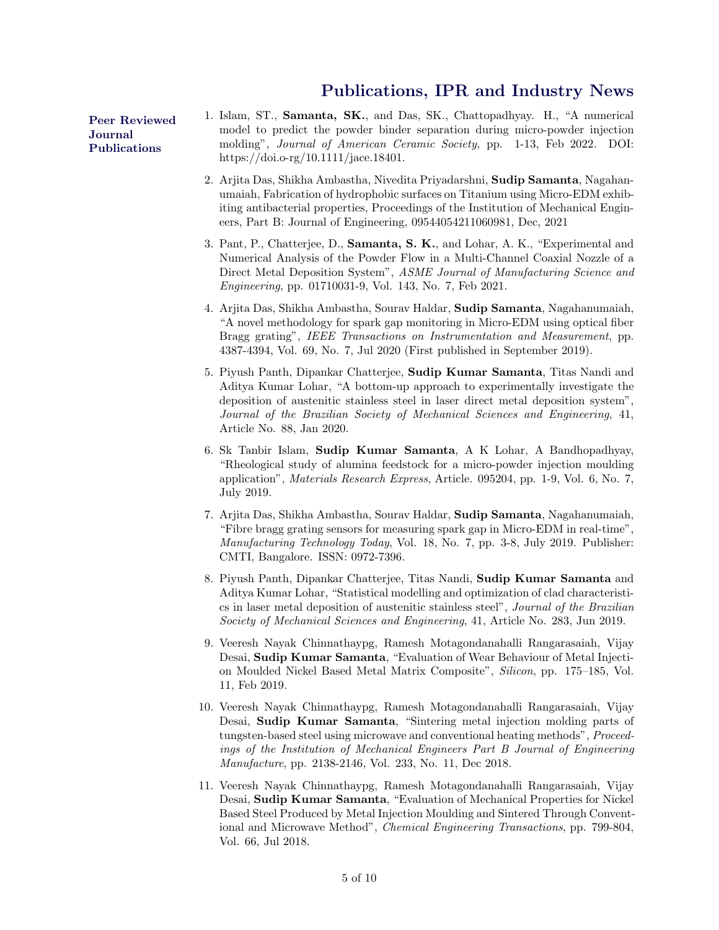## [Publications, IPR and Industry News](https://orcid.org/0000-0001-5191-0256)

[Peer Reviewed](https://orcid.org/0000-0001-5191-0256) [Journal](https://orcid.org/0000-0001-5191-0256) [Publications](https://orcid.org/0000-0001-5191-0256)

- 1. Islam, ST., Samanta, SK., and Das, SK., Chattopadhyay. H., "A numerical model to predict the powder binder separation during micro-powder injection molding", Journal of American Ceramic Society, pp. 1-13, Feb 2022. DOI: https://doi.o-rg/10.1111/jace.18401.
- 2. Arjita Das, Shikha Ambastha, Nivedita Priyadarshni, Sudip Samanta, Nagahanumaiah, Fabrication of hydrophobic surfaces on Titanium using Micro-EDM exhibiting antibacterial properties, Proceedings of the Institution of Mechanical Engineers, Part B: Journal of Engineering, 09544054211060981, Dec, 2021
- 3. Pant, P., Chatterjee, D., Samanta, S. K., and Lohar, A. K., "Experimental and Numerical Analysis of the Powder Flow in a Multi-Channel Coaxial Nozzle of a Direct Metal Deposition System", ASME Journal of Manufacturing Science and Engineering, pp. 01710031-9, Vol. 143, No. 7, Feb 2021.
- 4. Arjita Das, Shikha Ambastha, Sourav Haldar, Sudip Samanta, Nagahanumaiah, "A novel methodology for spark gap monitoring in Micro-EDM using optical fiber Bragg grating", IEEE Transactions on Instrumentation and Measurement, pp. 4387-4394, Vol. 69, No. 7, Jul 2020 (First published in September 2019).
- 5. Piyush Panth, Dipankar Chatterjee, Sudip Kumar Samanta, Titas Nandi and Aditya Kumar Lohar, "A bottom-up approach to experimentally investigate the deposition of austenitic stainless steel in laser direct metal deposition system", Journal of the Brazilian Society of Mechanical Sciences and Engineering, 41, Article No. 88, Jan 2020.
- 6. Sk Tanbir Islam, Sudip Kumar Samanta, A K Lohar, A Bandhopadhyay, "Rheological study of alumina feedstock for a micro-powder injection moulding application", Materials Research Express, Article. 095204, pp. 1-9, Vol. 6, No. 7, July 2019.
- 7. Arjita Das, Shikha Ambastha, Sourav Haldar, Sudip Samanta, Nagahanumaiah, "Fibre bragg grating sensors for measuring spark gap in Micro-EDM in real-time", Manufacturing Technology Today, Vol. 18, No. 7, pp. 3-8, July 2019. Publisher: CMTI, Bangalore. ISSN: 0972-7396.
- 8. Piyush Panth, Dipankar Chatterjee, Titas Nandi, Sudip Kumar Samanta and Aditya Kumar Lohar, "Statistical modelling and optimization of clad characteristics in laser metal deposition of austenitic stainless steel", Journal of the Brazilian Society of Mechanical Sciences and Engineering, 41, Article No. 283, Jun 2019.
- 9. Veeresh Nayak Chinnathaypg, Ramesh Motagondanahalli Rangarasaiah, Vijay Desai, Sudip Kumar Samanta, "Evaluation of Wear Behaviour of Metal Injection Moulded Nickel Based Metal Matrix Composite", Silicon, pp. 175–185, Vol. 11, Feb 2019.
- 10. Veeresh Nayak Chinnathaypg, Ramesh Motagondanahalli Rangarasaiah, Vijay Desai, Sudip Kumar Samanta, "Sintering metal injection molding parts of tungsten-based steel using microwave and conventional heating methods", Proceedings of the Institution of Mechanical Engineers Part B Journal of Engineering Manufacture, pp. 2138-2146, Vol. 233, No. 11, Dec 2018.
- 11. Veeresh Nayak Chinnathaypg, Ramesh Motagondanahalli Rangarasaiah, Vijay Desai, Sudip Kumar Samanta, "Evaluation of Mechanical Properties for Nickel Based Steel Produced by Metal Injection Moulding and Sintered Through Conventional and Microwave Method", Chemical Engineering Transactions, pp. 799-804, Vol. 66, Jul 2018.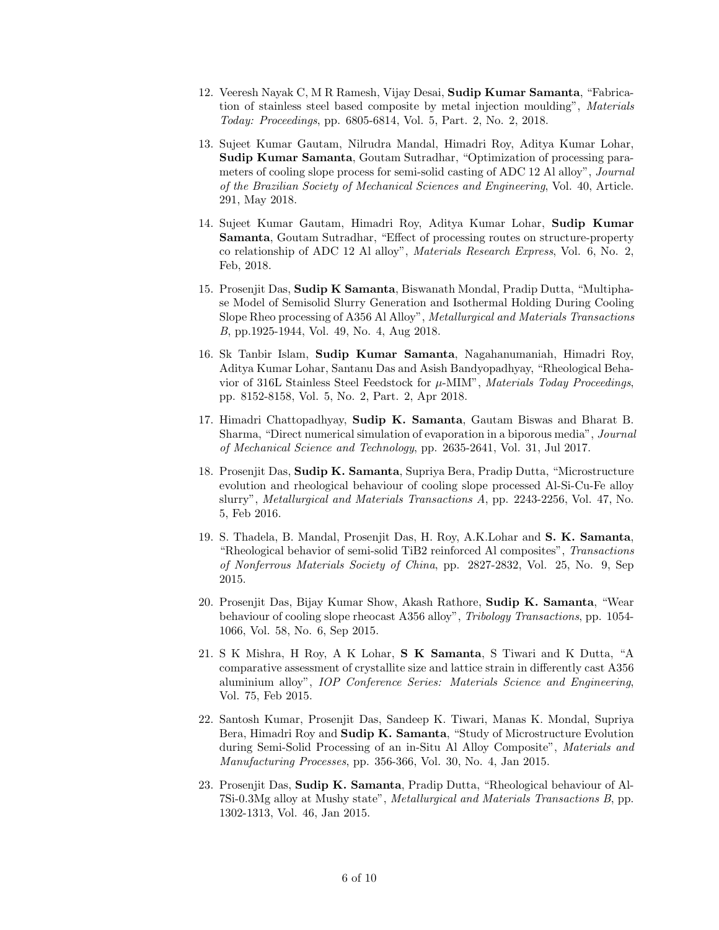- 12. Veeresh Nayak C, M R Ramesh, Vijay Desai, Sudip Kumar Samanta, "Fabrication of stainless steel based composite by metal injection moulding", Materials Today: Proceedings, pp. 6805-6814, Vol. 5, Part. 2, No. 2, 2018.
- 13. Sujeet Kumar Gautam, Nilrudra Mandal, Himadri Roy, Aditya Kumar Lohar, Sudip Kumar Samanta, Goutam Sutradhar, "Optimization of processing parameters of cooling slope process for semi-solid casting of ADC 12 Al alloy", Journal of the Brazilian Society of Mechanical Sciences and Engineering, Vol. 40, Article. 291, May 2018.
- 14. Sujeet Kumar Gautam, Himadri Roy, Aditya Kumar Lohar, Sudip Kumar Samanta, Goutam Sutradhar, "Effect of processing routes on structure-property co relationship of ADC 12 Al alloy", Materials Research Express, Vol. 6, No. 2, Feb, 2018.
- 15. Prosenjit Das, Sudip K Samanta, Biswanath Mondal, Pradip Dutta, "Multiphase Model of Semisolid Slurry Generation and Isothermal Holding During Cooling Slope Rheo processing of A356 Al Alloy", Metallurgical and Materials Transactions B, pp.1925-1944, Vol. 49, No. 4, Aug 2018.
- 16. Sk Tanbir Islam, Sudip Kumar Samanta, Nagahanumaniah, Himadri Roy, Aditya Kumar Lohar, Santanu Das and Asish Bandyopadhyay, "Rheological Behavior of 316L Stainless Steel Feedstock for  $\mu$ -MIM", *Materials Today Proceedings*, pp. 8152-8158, Vol. 5, No. 2, Part. 2, Apr 2018.
- 17. Himadri Chattopadhyay, Sudip K. Samanta, Gautam Biswas and Bharat B. Sharma, "Direct numerical simulation of evaporation in a biporous media", Journal of Mechanical Science and Technology, pp. 2635-2641, Vol. 31, Jul 2017.
- 18. Prosenjit Das, Sudip K. Samanta, Supriya Bera, Pradip Dutta, "Microstructure evolution and rheological behaviour of cooling slope processed Al-Si-Cu-Fe alloy slurry", Metallurgical and Materials Transactions A, pp. 2243-2256, Vol. 47, No. 5, Feb 2016.
- 19. S. Thadela, B. Mandal, Prosenjit Das, H. Roy, A.K.Lohar and S. K. Samanta, "Rheological behavior of semi-solid TiB2 reinforced Al composites", Transactions of Nonferrous Materials Society of China, pp. 2827-2832, Vol. 25, No. 9, Sep 2015.
- 20. Prosenjit Das, Bijay Kumar Show, Akash Rathore, Sudip K. Samanta, "Wear behaviour of cooling slope rheocast A356 alloy", Tribology Transactions, pp. 1054- 1066, Vol. 58, No. 6, Sep 2015.
- 21. S K Mishra, H Roy, A K Lohar, S K Samanta, S Tiwari and K Dutta, "A comparative assessment of crystallite size and lattice strain in differently cast A356 aluminium alloy", IOP Conference Series: Materials Science and Engineering, Vol. 75, Feb 2015.
- 22. Santosh Kumar, Prosenjit Das, Sandeep K. Tiwari, Manas K. Mondal, Supriya Bera, Himadri Roy and Sudip K. Samanta, "Study of Microstructure Evolution during Semi-Solid Processing of an in-Situ Al Alloy Composite", Materials and Manufacturing Processes, pp. 356-366, Vol. 30, No. 4, Jan 2015.
- 23. Prosenjit Das, Sudip K. Samanta, Pradip Dutta, "Rheological behaviour of Al-7Si-0.3Mg alloy at Mushy state", Metallurgical and Materials Transactions B, pp. 1302-1313, Vol. 46, Jan 2015.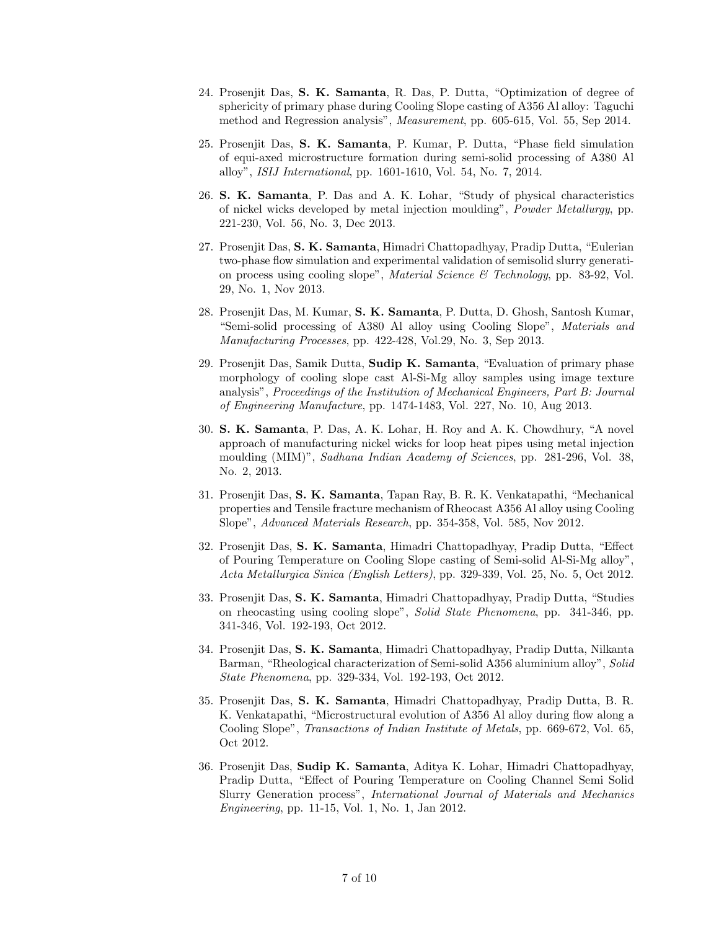- 24. Prosenjit Das, S. K. Samanta, R. Das, P. Dutta, "Optimization of degree of sphericity of primary phase during Cooling Slope casting of A356 Al alloy: Taguchi method and Regression analysis", Measurement, pp. 605-615, Vol. 55, Sep 2014.
- 25. Prosenjit Das, S. K. Samanta, P. Kumar, P. Dutta, "Phase field simulation of equi-axed microstructure formation during semi-solid processing of A380 Al alloy", ISIJ International, pp. 1601-1610, Vol. 54, No. 7, 2014.
- 26. S. K. Samanta, P. Das and A. K. Lohar, "Study of physical characteristics of nickel wicks developed by metal injection moulding", Powder Metallurgy, pp. 221-230, Vol. 56, No. 3, Dec 2013.
- 27. Prosenjit Das, S. K. Samanta, Himadri Chattopadhyay, Pradip Dutta, "Eulerian two-phase flow simulation and experimental validation of semisolid slurry generation process using cooling slope", *Material Science*  $\mathscr$  *Technology*, pp. 83-92, Vol. 29, No. 1, Nov 2013.
- 28. Prosenjit Das, M. Kumar, S. K. Samanta, P. Dutta, D. Ghosh, Santosh Kumar. "Semi-solid processing of A380 Al alloy using Cooling Slope", Materials and Manufacturing Processes, pp. 422-428, Vol.29, No. 3, Sep 2013.
- 29. Prosenjit Das, Samik Dutta, Sudip K. Samanta, "Evaluation of primary phase morphology of cooling slope cast Al-Si-Mg alloy samples using image texture analysis", Proceedings of the Institution of Mechanical Engineers, Part B: Journal of Engineering Manufacture, pp. 1474-1483, Vol. 227, No. 10, Aug 2013.
- 30. S. K. Samanta, P. Das, A. K. Lohar, H. Roy and A. K. Chowdhury, "A novel approach of manufacturing nickel wicks for loop heat pipes using metal injection moulding (MIM)", Sadhana Indian Academy of Sciences, pp. 281-296, Vol. 38, No. 2, 2013.
- 31. Prosenjit Das, S. K. Samanta, Tapan Ray, B. R. K. Venkatapathi, "Mechanical properties and Tensile fracture mechanism of Rheocast A356 Al alloy using Cooling Slope", Advanced Materials Research, pp. 354-358, Vol. 585, Nov 2012.
- 32. Prosenjit Das, S. K. Samanta, Himadri Chattopadhyay, Pradip Dutta, "Effect of Pouring Temperature on Cooling Slope casting of Semi-solid Al-Si-Mg alloy", Acta Metallurgica Sinica (English Letters), pp. 329-339, Vol. 25, No. 5, Oct 2012.
- 33. Prosenjit Das, S. K. Samanta, Himadri Chattopadhyay, Pradip Dutta, "Studies on rheocasting using cooling slope", Solid State Phenomena, pp. 341-346, pp. 341-346, Vol. 192-193, Oct 2012.
- 34. Prosenjit Das, S. K. Samanta, Himadri Chattopadhyay, Pradip Dutta, Nilkanta Barman, "Rheological characterization of Semi-solid A356 aluminium alloy", Solid State Phenomena, pp. 329-334, Vol. 192-193, Oct 2012.
- 35. Prosenjit Das, S. K. Samanta, Himadri Chattopadhyay, Pradip Dutta, B. R. K. Venkatapathi, "Microstructural evolution of A356 Al alloy during flow along a Cooling Slope", Transactions of Indian Institute of Metals, pp. 669-672, Vol. 65, Oct 2012.
- 36. Prosenjit Das, Sudip K. Samanta, Aditya K. Lohar, Himadri Chattopadhyay, Pradip Dutta, "Effect of Pouring Temperature on Cooling Channel Semi Solid Slurry Generation process", International Journal of Materials and Mechanics Engineering, pp. 11-15, Vol. 1, No. 1, Jan 2012.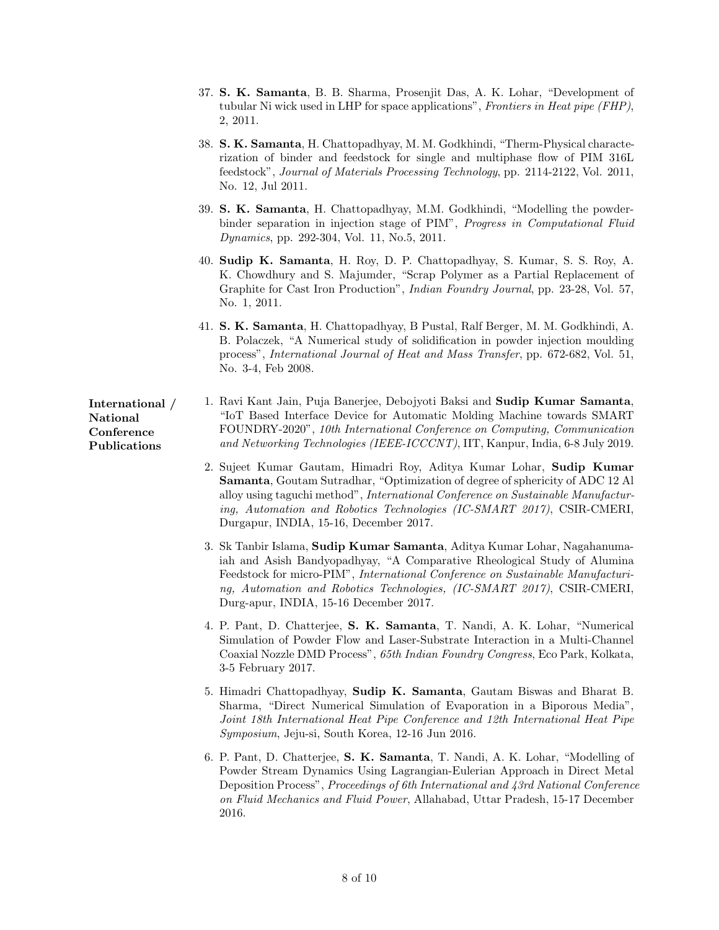- 37. S. K. Samanta, B. B. Sharma, Prosenjit Das, A. K. Lohar, "Development of tubular Ni wick used in LHP for space applications", Frontiers in Heat pipe (FHP), 2, 2011.
- 38. S. K. Samanta, H. Chattopadhyay, M. M. Godkhindi, "Therm-Physical characterization of binder and feedstock for single and multiphase flow of PIM 316L feedstock", Journal of Materials Processing Technology, pp. 2114-2122, Vol. 2011, No. 12, Jul 2011.
- 39. S. K. Samanta, H. Chattopadhyay, M.M. Godkhindi, "Modelling the powderbinder separation in injection stage of PIM", Progress in Computational Fluid Dynamics, pp. 292-304, Vol. 11, No.5, 2011.
- 40. Sudip K. Samanta, H. Roy, D. P. Chattopadhyay, S. Kumar, S. S. Roy, A. K. Chowdhury and S. Majumder, "Scrap Polymer as a Partial Replacement of Graphite for Cast Iron Production", Indian Foundry Journal, pp. 23-28, Vol. 57, No. 1, 2011.
- 41. S. K. Samanta, H. Chattopadhyay, B Pustal, Ralf Berger, M. M. Godkhindi, A. B. Polaczek, "A Numerical study of solidification in powder injection moulding process", International Journal of Heat and Mass Transfer, pp. 672-682, Vol. 51, No. 3-4, Feb 2008.
- 1. Ravi Kant Jain, Puja Banerjee, Debojyoti Baksi and Sudip Kumar Samanta, "IoT Based Interface Device for Automatic Molding Machine towards SMART FOUNDRY-2020", 10th International Conference on Computing, Communication and Networking Technologies (IEEE-ICCCNT), IIT, Kanpur, India, 6-8 July 2019.
	- 2. Sujeet Kumar Gautam, Himadri Roy, Aditya Kumar Lohar, Sudip Kumar Samanta, Goutam Sutradhar, "Optimization of degree of sphericity of ADC 12 Al alloy using taguchi method", International Conference on Sustainable Manufacturing, Automation and Robotics Technologies (IC-SMART 2017), CSIR-CMERI, Durgapur, INDIA, 15-16, December 2017.
	- 3. Sk Tanbir Islama, Sudip Kumar Samanta, Aditya Kumar Lohar, Nagahanumaiah and Asish Bandyopadhyay, "A Comparative Rheological Study of Alumina Feedstock for micro-PIM", International Conference on Sustainable Manufacturing, Automation and Robotics Technologies, (IC-SMART 2017), CSIR-CMERI, Durg-apur, INDIA, 15-16 December 2017.
	- 4. P. Pant, D. Chatterjee, S. K. Samanta, T. Nandi, A. K. Lohar, "Numerical Simulation of Powder Flow and Laser-Substrate Interaction in a Multi-Channel Coaxial Nozzle DMD Process", 65th Indian Foundry Congress, Eco Park, Kolkata, 3-5 February 2017.
	- 5. Himadri Chattopadhyay, Sudip K. Samanta, Gautam Biswas and Bharat B. Sharma, "Direct Numerical Simulation of Evaporation in a Biporous Media", Joint 18th International Heat Pipe Conference and 12th International Heat Pipe Symposium, Jeju-si, South Korea, 12-16 Jun 2016.
	- 6. P. Pant, D. Chatterjee, S. K. Samanta, T. Nandi, A. K. Lohar, "Modelling of Powder Stream Dynamics Using Lagrangian-Eulerian Approach in Direct Metal Deposition Process", Proceedings of 6th International and 43rd National Conference on Fluid Mechanics and Fluid Power, Allahabad, Uttar Pradesh, 15-17 December 2016.

International / National Conference Publications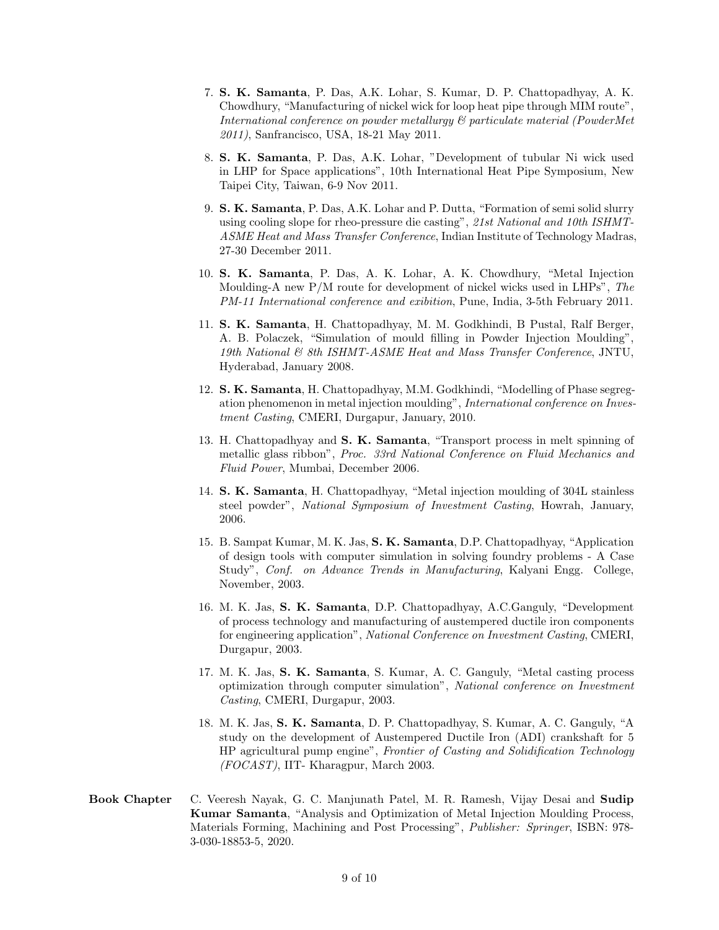- 7. S. K. Samanta, P. Das, A.K. Lohar, S. Kumar, D. P. Chattopadhyay, A. K. Chowdhury, "Manufacturing of nickel wick for loop heat pipe through MIM route", International conference on powder metallurgy & particulate material (PowderMet 2011), Sanfrancisco, USA, 18-21 May 2011.
- 8. S. K. Samanta, P. Das, A.K. Lohar, "Development of tubular Ni wick used in LHP for Space applications", 10th International Heat Pipe Symposium, New Taipei City, Taiwan, 6-9 Nov 2011.
- 9. S. K. Samanta, P. Das, A.K. Lohar and P. Dutta, "Formation of semi solid slurry using cooling slope for rheo-pressure die casting", 21st National and 10th ISHMT-ASME Heat and Mass Transfer Conference, Indian Institute of Technology Madras, 27-30 December 2011.
- 10. S. K. Samanta, P. Das, A. K. Lohar, A. K. Chowdhury, "Metal Injection Moulding-A new P/M route for development of nickel wicks used in LHPs", The PM-11 International conference and exibition, Pune, India, 3-5th February 2011.
- 11. S. K. Samanta, H. Chattopadhyay, M. M. Godkhindi, B Pustal, Ralf Berger, A. B. Polaczek, "Simulation of mould filling in Powder Injection Moulding", 19th National & 8th ISHMT-ASME Heat and Mass Transfer Conference, JNTU, Hyderabad, January 2008.
- 12. S. K. Samanta, H. Chattopadhyay, M.M. Godkhindi, "Modelling of Phase segregation phenomenon in metal injection moulding", International conference on Investment Casting, CMERI, Durgapur, January, 2010.
- 13. H. Chattopadhyay and S. K. Samanta, "Transport process in melt spinning of metallic glass ribbon", Proc. 33rd National Conference on Fluid Mechanics and Fluid Power, Mumbai, December 2006.
- 14. S. K. Samanta, H. Chattopadhyay, "Metal injection moulding of 304L stainless steel powder", National Symposium of Investment Casting, Howrah, January, 2006.
- 15. B. Sampat Kumar, M. K. Jas, S. K. Samanta, D.P. Chattopadhyay, "Application of design tools with computer simulation in solving foundry problems - A Case Study", Conf. on Advance Trends in Manufacturing, Kalyani Engg. College, November, 2003.
- 16. M. K. Jas, S. K. Samanta, D.P. Chattopadhyay, A.C.Ganguly, "Development of process technology and manufacturing of austempered ductile iron components for engineering application", National Conference on Investment Casting, CMERI, Durgapur, 2003.
- 17. M. K. Jas, S. K. Samanta, S. Kumar, A. C. Ganguly, "Metal casting process optimization through computer simulation", National conference on Investment Casting, CMERI, Durgapur, 2003.
- 18. M. K. Jas, S. K. Samanta, D. P. Chattopadhyay, S. Kumar, A. C. Ganguly, "A study on the development of Austempered Ductile Iron (ADI) crankshaft for 5 HP agricultural pump engine", Frontier of Casting and Solidification Technology (FOCAST), IIT- Kharagpur, March 2003.
- Book Chapter C. Veeresh Nayak, G. C. Manjunath Patel, M. R. Ramesh, Vijay Desai and Sudip Kumar Samanta, "Analysis and Optimization of Metal Injection Moulding Process, Materials Forming, Machining and Post Processing", Publisher: Springer, ISBN: 978- 3-030-18853-5, 2020.